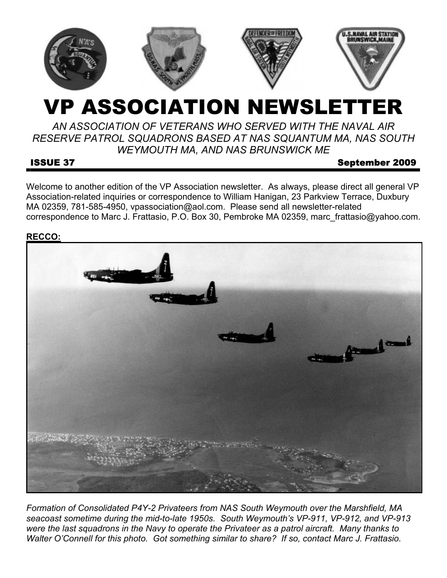

# VP ASSOCIATION NEWSLETTER

*AN ASSOCIATION OF VETERANS WHO SERVED WITH THE NAVAL AIR RESERVE PATROL SQUADRONS BASED AT NAS SQUANTUM MA, NAS SOUTH WEYMOUTH MA, AND NAS BRUNSWICK ME* 

#### ISSUE 37 September 2009

Welcome to another edition of the VP Association newsletter. As always, please direct all general VP Association-related inquiries or correspondence to William Hanigan, 23 Parkview Terrace, Duxbury MA 02359, 781-585-4950, vpassociation@aol.com. Please send all newsletter-related correspondence to Marc J. Frattasio, P.O. Box 30, Pembroke MA 02359, marc\_frattasio@yahoo.com.

#### **RECCO:**



*Formation of Consolidated P4Y-2 Privateers from NAS South Weymouth over the Marshfield, MA seacoast sometime during the mid-to-late 1950s. South Weymouth's VP-911, VP-912, and VP-913 were the last squadrons in the Navy to operate the Privateer as a patrol aircraft. Many thanks to Walter O'Connell for this photo. Got something similar to share? If so, contact Marc J. Frattasio.*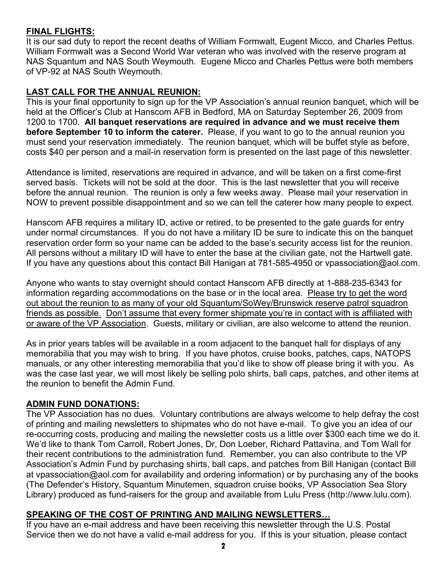## **FINAL FLIGHTS:**

It is our sad duty to report the recent deaths of William Formwalt, Eugent Micco, and Charles Pettus. William Formwalt was a Second World War veteran who was involved with the reserve program at NAS Squantum and NAS South Weymouth. Eugene Micco and Charles Pettus were both members of VP-92 at NAS South Weymouth.

# **LAST CALL FOR THE ANNUAL REUNION:**

This is your final opportunity to sign up for the VP Association's annual reunion banquet, which will be held at the Officer's Club at Hanscom AFB in Bedford, MA on Saturday September 26, 2009 from 1200 to 1700. **All banquet reservations are required in advance and we must receive them before September 10 to inform the caterer.** Please, if you want to go to the annual reunion you must send your reservation immediately. The reunion banquet, which will be buffet style as before, costs \$40 per person and a mail-in reservation form is presented on the last page of this newsletter.

Attendance is limited, reservations are required in advance, and will be taken on a first come-first served basis. Tickets will not be sold at the door. This is the last newsletter that you will receive before the annual reunion. The reunion is only a few weeks away. Please mail your reservation in NOW to prevent possible disappointment and so we can tell the caterer how many people to expect.

Hanscom AFB requires a military ID, active or retired, to be presented to the gate guards for entry under normal circumstances. If you do not have a military ID be sure to indicate this on the banquet reservation order form so your name can be added to the base's security access list for the reunion. All persons without a military ID will have to enter the base at the civilian gate, not the Hartwell gate. If you have any questions about this contact Bill Hanigan at 781-585-4950 or vpassociation@aol.com.

Anyone who wants to stay overnight should contact Hanscom AFB directly at 1-888-235-6343 for information regarding accommodations on the base or in the local area. Please try to get the word out about the reunion to as many of your old Squantum/SoWey/Brunswick reserve patrol squadron friends as possible. Don't assume that every former shipmate you're in contact with is affiliated with or aware of the VP Association. Guests, military or civilian, are also welcome to attend the reunion.

As in prior years tables will be available in a room adjacent to the banquet hall for displays of any memorabilia that you may wish to bring. If you have photos, cruise books, patches, caps, NATOPS manuals, or any other interesting memorabilia that you'd like to show off please bring it with you. As was the case last year, we will most likely be selling polo shirts, ball caps, patches, and other items at the reunion to benefit the Admin Fund.

#### **ADMIN FUND DONATIONS:**

The VP Association has no dues. Voluntary contributions are always welcome to help defray the cost of printing and mailing newsletters to shipmates who do not have e-mail. To give you an idea of our re-occurring costs, producing and mailing the newsletter costs us a little over \$300 each time we do it. We'd like to thank Tom Carroll, Robert Jones, Dr, Don Loeber, Richard Pattavina, and Tom Wall for their recent contributions to the administration fund. Remember, you can also contribute to the VP Association's Admin Fund by purchasing shirts, ball caps, and patches from Bill Hanigan (contact Bill at vpassociation@aol.com for availability and ordering information) or by purchasing any of the books (The Defender's History, Squantum Minutemen, squadron cruise books, VP Association Sea Story Library) produced as fund-raisers for the group and available from Lulu Press (http://www.lulu.com).

# **SPEAKING OF THE COST OF PRINTING AND MAILING NEWSLETTERS…**

If you have an e-mail address and have been receiving this newsletter through the U.S. Postal Service then we do not have a valid e-mail address for you. If this is your situation, please contact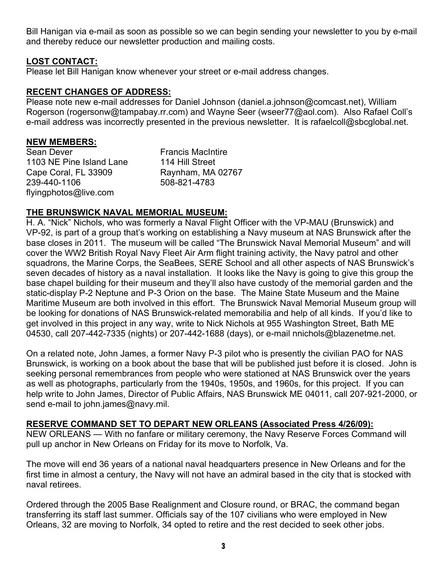Bill Hanigan via e-mail as soon as possible so we can begin sending your newsletter to you by e-mail and thereby reduce our newsletter production and mailing costs.

#### **LOST CONTACT:**

Please let Bill Hanigan know whenever your street or e-mail address changes.

#### **RECENT CHANGES OF ADDRESS:**

Please note new e-mail addresses for Daniel Johnson (daniel.a.johnson@comcast.net), William Rogerson (rogersonw@tampabay.rr.com) and Wayne Seer (wseer77@aol.com). Also Rafael Coll's e-mail address was incorrectly presented in the previous newsletter. It is rafaelcoll@sbcglobal.net.

#### **NEW MEMBERS:**

Sean Dever 1103 NE Pine Island Lane Cape Coral, FL 33909 239-440-1106 flyingphotos@live.com

Francis MacIntire 114 Hill Street Raynham, MA 02767 508-821-4783

#### **THE BRUNSWICK NAVAL MEMORIAL MUSEUM:**

H. A. "Nick" Nichols, who was formerly a Naval Flight Officer with the VP-MAU (Brunswick) and VP-92, is part of a group that's working on establishing a Navy museum at NAS Brunswick after the base closes in 2011. The museum will be called "The Brunswick Naval Memorial Museum" and will cover the WW2 British Royal Navy Fleet Air Arm flight training activity, the Navy patrol and other squadrons, the Marine Corps, the SeaBees, SERE School and all other aspects of NAS Brunswick's seven decades of history as a naval installation. It looks like the Navy is going to give this group the base chapel building for their museum and they'll also have custody of the memorial garden and the static-display P-2 Neptune and P-3 Orion on the base. The Maine State Museum and the Maine Maritime Museum are both involved in this effort. The Brunswick Naval Memorial Museum group will be looking for donations of NAS Brunswick-related memorabilia and help of all kinds. If you'd like to get involved in this project in any way, write to Nick Nichols at 955 Washington Street, Bath ME 04530, call 207-442-7335 (nights) or 207-442-1688 (days), or e-mail nnichols@blazenetme.net.

On a related note, John James, a former Navy P-3 pilot who is presently the civilian PAO for NAS Brunswick, is working on a book about the base that will be published just before it is closed. John is seeking personal remembrances from people who were stationed at NAS Brunswick over the years as well as photographs, particularly from the 1940s, 1950s, and 1960s, for this project. If you can help write to John James, Director of Public Affairs, NAS Brunswick ME 04011, call 207-921-2000, or send e-mail to john.james@navy.mil.

#### **RESERVE COMMAND SET TO DEPART NEW ORLEANS (Associated Press 4/26/09):**

NEW ORLEANS — With no fanfare or military ceremony, the Navy Reserve Forces Command will pull up anchor in New Orleans on Friday for its move to Norfolk, Va.

The move will end 36 years of a national naval headquarters presence in New Orleans and for the first time in almost a century, the Navy will not have an admiral based in the city that is stocked with naval retirees.

Ordered through the 2005 Base Realignment and Closure round, or BRAC, the command began transferring its staff last summer. Officials say of the 107 civilians who were employed in New Orleans, 32 are moving to Norfolk, 34 opted to retire and the rest decided to seek other jobs.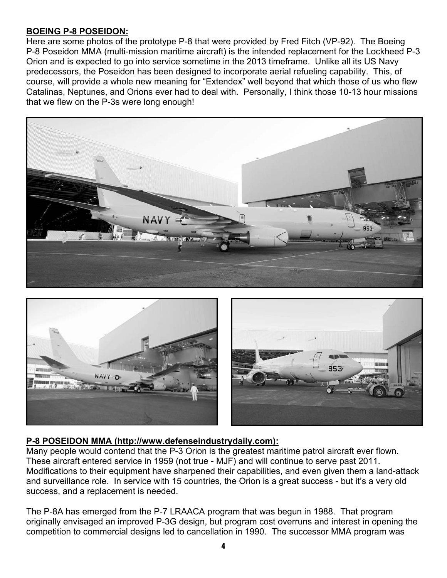## **BOEING P-8 POSEIDON:**

Here are some photos of the prototype P-8 that were provided by Fred Fitch (VP-92). The Boeing P-8 Poseidon MMA (multi-mission maritime aircraft) is the intended replacement for the Lockheed P-3 Orion and is expected to go into service sometime in the 2013 timeframe. Unlike all its US Navy predecessors, the Poseidon has been designed to incorporate aerial refueling capability. This, of course, will provide a whole new meaning for "Extendex" well beyond that which those of us who flew Catalinas, Neptunes, and Orions ever had to deal with. Personally, I think those 10-13 hour missions that we flew on the P-3s were long enough!





# **P-8 POSEIDON MMA (http://www.defenseindustrydaily.com):**

Many people would contend that the P-3 Orion is the greatest maritime patrol aircraft ever flown. These aircraft entered service in 1959 (not true - MJF) and will continue to serve past 2011. Modifications to their equipment have sharpened their capabilities, and even given them a land-attack and surveillance role. In service with 15 countries, the Orion is a great success - but it's a very old success, and a replacement is needed.

The P-8A has emerged from the P-7 LRAACA program that was begun in 1988. That program originally envisaged an improved P-3G design, but program cost overruns and interest in opening the competition to commercial designs led to cancellation in 1990. The successor MMA program was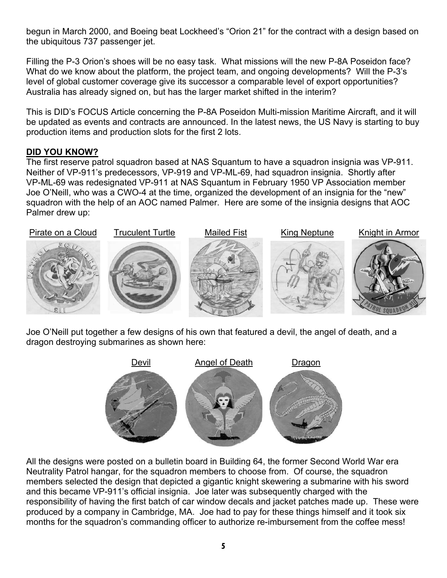begun in March 2000, and Boeing beat Lockheed's "Orion 21" for the contract with a design based on the ubiquitous 737 passenger jet.

Filling the P-3 Orion's shoes will be no easy task. What missions will the new P-8A Poseidon face? What do we know about the platform, the project team, and ongoing developments? Will the P-3's level of global customer coverage give its successor a comparable level of export opportunities? Australia has already signed on, but has the larger market shifted in the interim?

This is DID's FOCUS Article concerning the P-8A Poseidon Multi-mission Maritime Aircraft, and it will be updated as events and contracts are announced. In the latest news, the US Navy is starting to buy production items and production slots for the first 2 lots.

#### **DID YOU KNOW?**

The first reserve patrol squadron based at NAS Squantum to have a squadron insignia was VP-911. Neither of VP-911's predecessors, VP-919 and VP-ML-69, had squadron insignia. Shortly after VP-ML-69 was redesignated VP-911 at NAS Squantum in February 1950 VP Association member Joe O'Neill, who was a CWO-4 at the time, organized the development of an insignia for the "new" squadron with the help of an AOC named Palmer. Here are some of the insignia designs that AOC Palmer drew up:



Joe O'Neill put together a few designs of his own that featured a devil, the angel of death, and a dragon destroying submarines as shown here:



All the designs were posted on a bulletin board in Building 64, the former Second World War era Neutrality Patrol hangar, for the squadron members to choose from. Of course, the squadron members selected the design that depicted a gigantic knight skewering a submarine with his sword and this became VP-911's official insignia. Joe later was subsequently charged with the responsibility of having the first batch of car window decals and jacket patches made up. These were produced by a company in Cambridge, MA. Joe had to pay for these things himself and it took six months for the squadron's commanding officer to authorize re-imbursement from the coffee mess!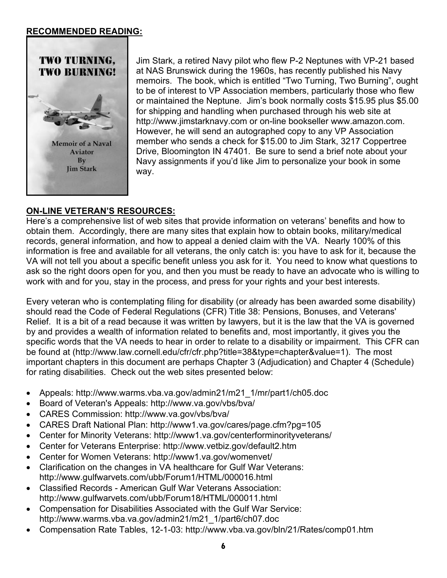#### **RECOMMENDED READING:**



Jim Stark, a retired Navy pilot who flew P-2 Neptunes with VP-21 based at NAS Brunswick during the 1960s, has recently published his Navy memoirs. The book, which is entitled "Two Turning, Two Burning", ought to be of interest to VP Association members, particularly those who flew or maintained the Neptune. Jim's book normally costs \$15.95 plus \$5.00 for shipping and handling when purchased through his web site at http://www.jimstarknavy.com or on-line bookseller www.amazon.com. However, he will send an autographed copy to any VP Association member who sends a check for \$15.00 to Jim Stark, 3217 Coppertree Drive, Bloomington IN 47401. Be sure to send a brief note about your Navy assignments if you'd like Jim to personalize your book in some way.

## **ON-LINE VETERAN'S RESOURCES:**

Here's a comprehensive list of web sites that provide information on veterans' benefits and how to obtain them. Accordingly, there are many sites that explain how to obtain books, military/medical records, general information, and how to appeal a denied claim with the VA. Nearly 100% of this information is free and available for all veterans, the only catch is: you have to ask for it, because the VA will not tell you about a specific benefit unless you ask for it. You need to know what questions to ask so the right doors open for you, and then you must be ready to have an advocate who is willing to work with and for you, stay in the process, and press for your rights and your best interests.

Every veteran who is contemplating filing for disability (or already has been awarded some disability) should read the Code of Federal Regulations (CFR) Title 38: Pensions, Bonuses, and Veterans' Relief. It is a bit of a read because it was written by lawyers, but it is the law that the VA is governed by and provides a wealth of information related to benefits and, most importantly, it gives you the specific words that the VA needs to hear in order to relate to a disability or impairment. This CFR can be found at (http://www.law.cornell.edu/cfr/cfr.php?title=38&type=chapter&value=1). The most important chapters in this document are perhaps Chapter 3 (Adjudication) and Chapter 4 (Schedule) for rating disabilities. Check out the web sites presented below:

- Appeals: http://www.warms.vba.va.gov/admin21/m21\_1/mr/part1/ch05.doc
- Board of Veteran's Appeals: http://www.va.gov/vbs/bva/
- CARES Commission: http://www.va.gov/vbs/bva/
- CARES Draft National Plan: http://www1.va.gov/cares/page.cfm?pg=105
- Center for Minority Veterans: http://www1.va.gov/centerforminorityveterans/
- Center for Veterans Enterprise: http://www.vetbiz.gov/default2.htm
- Center for Women Veterans: http://www1.va.gov/womenvet/
- Clarification on the changes in VA healthcare for Gulf War Veterans: http://www.gulfwarvets.com/ubb/Forum1/HTML/000016.html
- Classified Records American Gulf War Veterans Association: http://www.gulfwarvets.com/ubb/Forum18/HTML/000011.html
- Compensation for Disabilities Associated with the Gulf War Service: http://www.warms.vba.va.gov/admin21/m21\_1/part6/ch07.doc
- Compensation Rate Tables, 12-1-03: http://www.vba.va.gov/bln/21/Rates/comp01.htm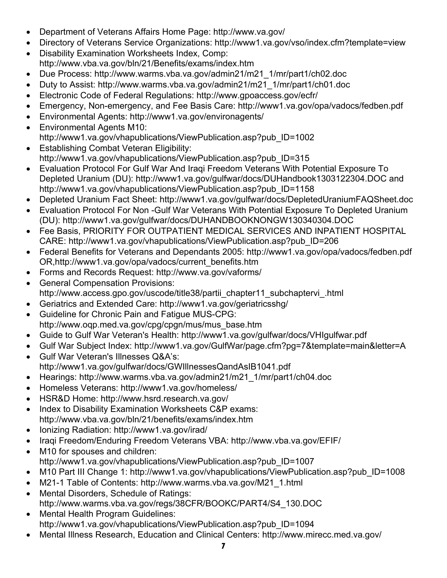- Department of Veterans Affairs Home Page: http://www.va.gov/
- Directory of Veterans Service Organizations: http://www1.va.gov/vso/index.cfm?template=view
- Disability Examination Worksheets Index, Comp: http://www.vba.va.gov/bln/21/Benefits/exams/index.htm
- Due Process: http://www.warms.vba.va.gov/admin21/m21\_1/mr/part1/ch02.doc
- Duty to Assist: http://www.warms.vba.va.gov/admin21/m21\_1/mr/part1/ch01.doc
- Electronic Code of Federal Regulations: http://www.gpoaccess.gov/ecfr/
- Emergency, Non-emergency, and Fee Basis Care: http://www1.va.gov/opa/vadocs/fedben.pdf
- Environmental Agents: http://www1.va.gov/environagents/
- Environmental Agents M10: http://www1.va.gov/vhapublications/ViewPublication.asp?pub\_ID=1002
- Establishing Combat Veteran Eligibility: http://www1.va.gov/vhapublications/ViewPublication.asp?pub\_ID=315
- Evaluation Protocol For Gulf War And Iraqi Freedom Veterans With Potential Exposure To Depleted Uranium (DU): http://www1.va.gov/gulfwar/docs/DUHandbook1303122304.DOC and http://www1.va.gov/vhapublications/ViewPublication.asp?pub\_ID=1158
- Depleted Uranium Fact Sheet: http://www1.va.gov/gulfwar/docs/DepletedUraniumFAQSheet.doc
- Evaluation Protocol For Non -Gulf War Veterans With Potential Exposure To Depleted Uranium (DU): http://www1.va.gov/gulfwar/docs/DUHANDBOOKNONGW130340304.DOC
- Fee Basis, PRIORITY FOR OUTPATIENT MEDICAL SERVICES AND INPATIENT HOSPITAL CARE: http://www1.va.gov/vhapublications/ViewPublication.asp?pub\_ID=206
- Federal Benefits for Veterans and Dependants 2005: http://www1.va.gov/opa/vadocs/fedben.pdf OR,http://www1.va.gov/opa/vadocs/current\_benefits.htm
- Forms and Records Request: http://www.va.gov/vaforms/
- General Compensation Provisions: http://www.access.gpo.gov/uscode/title38/partii\_chapter11\_subchaptervi\_.html
- Geriatrics and Extended Care: http://www1.va.gov/geriatricsshg/
- Guideline for Chronic Pain and Fatigue MUS-CPG: http://www.oqp.med.va.gov/cpg/cpgn/mus/mus\_base.htm
- Guide to Gulf War Veteran's Health: http://www1.va.gov/gulfwar/docs/VHIgulfwar.pdf
- Gulf War Subject Index: http://www1.va.gov/GulfWar/page.cfm?pg=7&template=main&letter=A
- Gulf War Veteran's Illnesses Q&A's: http://www1.va.gov/gulfwar/docs/GWIllnessesQandAsIB1041.pdf
- Hearings: http://www.warms.vba.va.gov/admin21/m21\_1/mr/part1/ch04.doc
- Homeless Veterans: http://www1.va.gov/homeless/
- HSR&D Home: http://www.hsrd.research.va.gov/
- Index to Disability Examination Worksheets C&P exams: http://www.vba.va.gov/bln/21/benefits/exams/index.htm
- Ionizing Radiation: http://www1.va.gov/irad/
- Iraqi Freedom/Enduring Freedom Veterans VBA: http://www.vba.va.gov/EFIF/
- M10 for spouses and children: http://www1.va.gov/vhapublications/ViewPublication.asp?pub\_ID=1007
- M10 Part III Change 1: http://www1.va.gov/vhapublications/ViewPublication.asp?pub\_ID=1008
- M21-1 Table of Contents: http://www.warms.vba.va.gov/M21\_1.html
- Mental Disorders, Schedule of Ratings: http://www.warms.vba.va.gov/regs/38CFR/BOOKC/PART4/S4\_130.DOC
- Mental Health Program Guidelines: http://www1.va.gov/vhapublications/ViewPublication.asp?pub\_ID=1094
- Mental Illness Research, Education and Clinical Centers: http://www.mirecc.med.va.gov/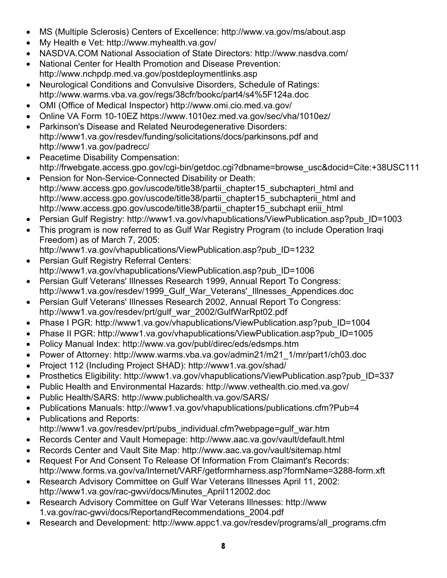- MS (Multiple Sclerosis) Centers of Excellence: http://www.va.gov/ms/about.asp
- My Health e Vet: http://www.myhealth.va.gov/
- NASDVA.COM National Association of State Directors: http://www.nasdva.com/
- National Center for Health Promotion and Disease Prevention: http://www.nchpdp.med.va.gov/postdeploymentlinks.asp
- Neurological Conditions and Convulsive Disorders, Schedule of Ratings: http://www.warms.vba.va.gov/regs/38cfr/bookc/part4/s4%5F124a.doc
- OMI (Office of Medical Inspector) http://www.omi.cio.med.va.gov/
- Online VA Form 10-10EZ https://www.1010ez.med.va.gov/sec/vha/1010ez/
- Parkinson's Disease and Related Neurodegenerative Disorders: http://www1.va.gov/resdev/funding/solicitations/docs/parkinsons.pdf and http://www1.va.gov/padrecc/
- Peacetime Disability Compensation: http://frwebgate.access.gpo.gov/cgi-bin/getdoc.cgi?dbname=browse\_usc&docid=Cite:+38USC111
- Pension for Non-Service-Connected Disability or Death: http://www.access.gpo.gov/uscode/title38/partii\_chapter15\_subchapteri\_html and http://www.access.gpo.gov/uscode/title38/partii\_chapter15\_subchapterii\_html and http://www.access.gpo.gov/uscode/title38/partii\_chapter15\_subchapt eriii\_html
- Persian Gulf Registry: http://www1.va.gov/vhapublications/ViewPublication.asp?pub\_ID=1003
- This program is now referred to as Gulf War Registry Program (to include Operation Iragi Freedom) as of March 7, 2005:

http://www1.va.gov/vhapublications/ViewPublication.asp?pub\_ID=1232

- Persian Gulf Registry Referral Centers: http://www1.va.gov/vhapublications/ViewPublication.asp?pub\_ID=1006
- Persian Gulf Veterans' Illnesses Research 1999, Annual Report To Congress: http://www1.va.gov/resdev/1999 Gulf War Veterans' Illnesses Appendices.doc
- Persian Gulf Veterans' Illnesses Research 2002, Annual Report To Congress: http://www1.va.gov/resdev/prt/gulf\_war\_2002/GulfWarRpt02.pdf
- Phase I PGR: http://www1.va.gov/vhapublications/ViewPublication.asp?pub\_ID=1004
- Phase II PGR: http://www1.va.gov/vhapublications/ViewPublication.asp?pub\_ID=1005
- Policy Manual Index: http://www.va.gov/publ/direc/eds/edsmps.htm
- Power of Attorney: http://www.warms.vba.va.gov/admin21/m21\_1/mr/part1/ch03.doc
- Project 112 (Including Project SHAD): http://www1.va.gov/shad/
- Prosthetics Eligibility: http://www1.va.gov/vhapublications/ViewPublication.asp?pub\_ID=337
- Public Health and Environmental Hazards: http://www.vethealth.cio.med.va.gov/
- Public Health/SARS: http://www.publichealth.va.gov/SARS/
- Publications Manuals: http://www1.va.gov/vhapublications/publications.cfm?Pub=4
- Publications and Reports: http://www1.va.gov/resdev/prt/pubs\_individual.cfm?webpage=gulf\_war.htm
- Records Center and Vault Homepage: http://www.aac.va.gov/vault/default.html
- Records Center and Vault Site Map: http://www.aac.va.gov/vault/sitemap.html
- Request For And Consent To Release Of Information From Claimant's Records: http://www.forms.va.gov/va/Internet/VARF/getformharness.asp?formName=3288-form.xft
- Research Advisory Committee on Gulf War Veterans Illnesses April 11, 2002: http://www1.va.gov/rac-gwvi/docs/Minutes\_April112002.doc
- Research Advisory Committee on Gulf War Veterans Illnesses: http://www 1.va.gov/rac-gwvi/docs/ReportandRecommendations\_2004.pdf
- Research and Development: http://www.appc1.va.gov/resdev/programs/all\_programs.cfm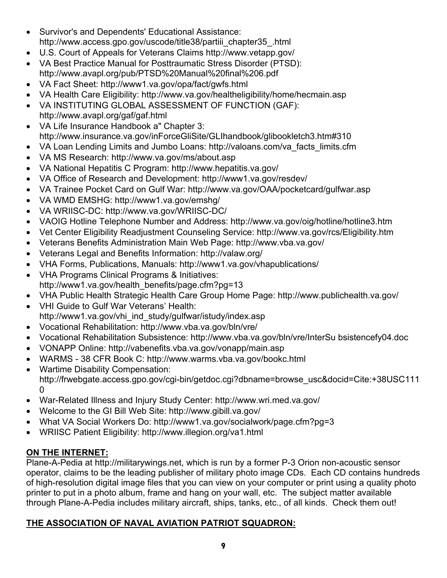- Survivor's and Dependents' Educational Assistance: http://www.access.gpo.gov/uscode/title38/partiii\_chapter35\_.html
- U.S. Court of Appeals for Veterans Claims http://www.vetapp.gov/
- VA Best Practice Manual for Posttraumatic Stress Disorder (PTSD): http://www.avapl.org/pub/PTSD%20Manual%20final%206.pdf
- VA Fact Sheet: http://www1.va.gov/opa/fact/gwfs.html
- VA Health Care Eligibility: http://www.va.gov/healtheligibility/home/hecmain.asp
- VA INSTITUTING GLOBAL ASSESSMENT OF FUNCTION (GAF):
- http://www.avapl.org/gaf/gaf.html • VA Life Insurance Handbook a" Chapter 3: http://www.insurance.va.gov/inForceGliSite/GLIhandbook/glibookletch3.htm#310
- VA Loan Lending Limits and Jumbo Loans: http://valoans.com/va\_facts\_limits.cfm
- VA MS Research: http://www.va.gov/ms/about.asp
- VA National Hepatitis C Program: http://www.hepatitis.va.gov/
- VA Office of Research and Development: http://www1.va.gov/resdev/
- VA Trainee Pocket Card on Gulf War: http://www.va.gov/OAA/pocketcard/gulfwar.asp
- VA WMD EMSHG: http://www1.va.gov/emshg/
- VA WRIISC-DC: http://www.va.gov/WRIISC-DC/
- VAOIG Hotline Telephone Number and Address: http://www.va.gov/oig/hotline/hotline3.htm
- Vet Center Eligibility Readjustment Counseling Service: http://www.va.gov/rcs/Eligibility.htm
- Veterans Benefits Administration Main Web Page: http://www.vba.va.gov/
- Veterans Legal and Benefits Information: http://valaw.org/
- VHA Forms, Publications, Manuals: http://www1.va.gov/vhapublications/
- VHA Programs Clinical Programs & Initiatives: http://www1.va.gov/health\_benefits/page.cfm?pg=13
- VHA Public Health Strategic Health Care Group Home Page: http://www.publichealth.va.gov/
- VHI Guide to Gulf War Veterans' Health: http://www1.va.gov/vhi\_ind\_study/gulfwar/istudy/index.asp
- Vocational Rehabilitation: http://www.vba.va.gov/bln/vre/
- Vocational Rehabilitation Subsistence: http://www.vba.va.gov/bln/vre/InterSu bsistencefy04.doc
- VONAPP Online: http://vabenefits.vba.va.gov/vonapp/main.asp
- WARMS 38 CFR Book C: http://www.warms.vba.va.gov/bookc.html
- Wartime Disability Compensation: http://frwebgate.access.gpo.gov/cgi-bin/getdoc.cgi?dbname=browse\_usc&docid=Cite:+38USC111  $\Omega$
- War-Related Illness and Injury Study Center: http://www.wri.med.va.gov/
- Welcome to the GI Bill Web Site: http://www.gibill.va.gov/
- What VA Social Workers Do: http://www1.va.gov/socialwork/page.cfm?pg=3
- WRIISC Patient Eligibility: http://www.illegion.org/va1.html

# **ON THE INTERNET:**

Plane-A-Pedia at http://militarywings.net, which is run by a former P-3 Orion non-acoustic sensor operator, claims to be the leading publisher of military photo image CDs. Each CD contains hundreds of high-resolution digital image files that you can view on your computer or print using a quality photo printer to put in a photo album, frame and hang on your wall, etc. The subject matter available through Plane-A-Pedia includes military aircraft, ships, tanks, etc., of all kinds. Check them out!

# **THE ASSOCIATION OF NAVAL AVIATION PATRIOT SQUADRON:**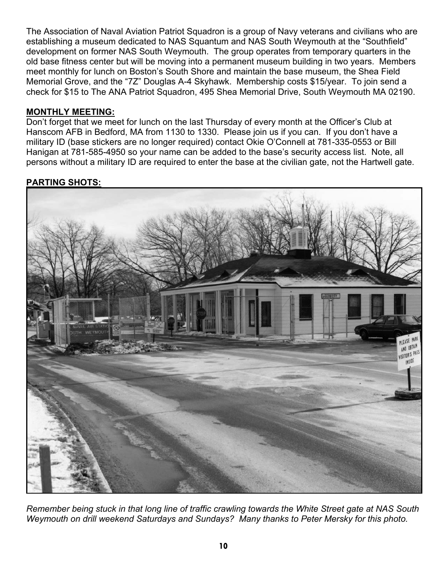The Association of Naval Aviation Patriot Squadron is a group of Navy veterans and civilians who are establishing a museum dedicated to NAS Squantum and NAS South Weymouth at the "Southfield" development on former NAS South Weymouth. The group operates from temporary quarters in the old base fitness center but will be moving into a permanent museum building in two years. Members meet monthly for lunch on Boston's South Shore and maintain the base museum, the Shea Field Memorial Grove, and the "7Z" Douglas A-4 Skyhawk. Membership costs \$15/year. To join send a check for \$15 to The ANA Patriot Squadron, 495 Shea Memorial Drive, South Weymouth MA 02190.

#### **MONTHLY MEETING:**

Don't forget that we meet for lunch on the last Thursday of every month at the Officer's Club at Hanscom AFB in Bedford, MA from 1130 to 1330. Please join us if you can. If you don't have a military ID (base stickers are no longer required) contact Okie O'Connell at 781-335-0553 or Bill Hanigan at 781-585-4950 so your name can be added to the base's security access list. Note, all persons without a military ID are required to enter the base at the civilian gate, not the Hartwell gate.

#### **PARTING SHOTS:**



*Remember being stuck in that long line of traffic crawling towards the White Street gate at NAS South Weymouth on drill weekend Saturdays and Sundays? Many thanks to Peter Mersky for this photo.*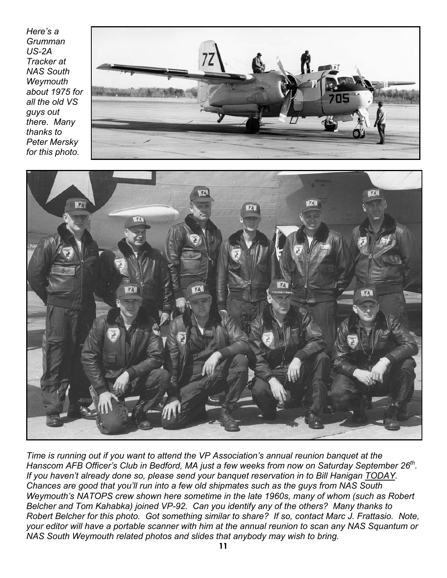*Here's a Grumman US-2A Tracker at NAS South Weymouth about 1975 for all the old VS guys out there. Many thanks to Peter Mersky for this photo.*





*Time is running out if you want to attend the VP Association's annual reunion banquet at the*  Hanscom AFB Officer's Club in Bedford, MA just a few weeks from now on Saturday September 26<sup>th</sup>. *If you haven't already done so, please send your banquet reservation in to Bill Hanigan TODAY. Chances are good that you'll run into a few old shipmates such as the guys from NAS South Weymouth's NATOPS crew shown here sometime in the late 1960s, many of whom (such as Robert Belcher and Tom Kahabka) joined VP-92. Can you identify any of the others? Many thanks to Robert Belcher for this photo. Got something similar to share? If so, contact Marc J. Frattasio. Note, your editor will have a portable scanner with him at the annual reunion to scan any NAS Squantum or NAS South Weymouth related photos and slides that anybody may wish to bring.*